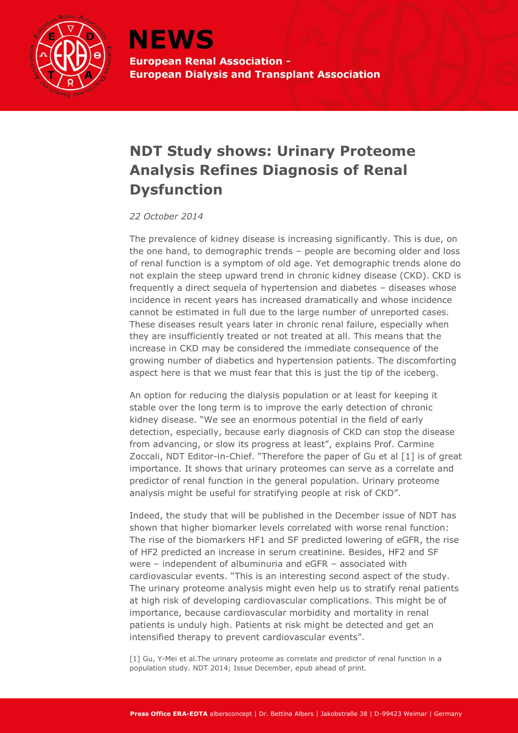

**NEWS European Renal Association -European Dialysis and Transplant Association** 

## **NDT Study shows: Urinary Proteome Analysis Refines Diagnosis of Renal Dysfunction**

*22 October 2014*

The prevalence of kidney disease is increasing significantly. This is due, on the one hand, to demographic trends – people are becoming older and loss of renal function is a symptom of old age. Yet demographic trends alone do not explain the steep upward trend in chronic kidney disease (CKD). CKD is frequently a direct sequela of hypertension and diabetes – diseases whose incidence in recent years has increased dramatically and whose incidence cannot be estimated in full due to the large number of unreported cases. These diseases result years later in chronic renal failure, especially when they are insufficiently treated or not treated at all. This means that the increase in CKD may be considered the immediate consequence of the growing number of diabetics and hypertension patients. The discomforting aspect here is that we must fear that this is just the tip of the iceberg.

An option for reducing the dialysis population or at least for keeping it stable over the long term is to improve the early detection of chronic kidney disease. "We see an enormous potential in the field of early detection, especially, because early diagnosis of CKD can stop the disease from advancing, or slow its progress at least", explains Prof. Carmine Zoccali, NDT Editor-in-Chief. "Therefore the paper of Gu et al [1] is of great importance. It shows that urinary proteomes can serve as a correlate and predictor of renal function in the general population. Urinary proteome analysis might be useful for stratifying people at risk of CKD".

Indeed, the study that will be published in the December issue of NDT has shown that higher biomarker levels correlated with worse renal function: The rise of the biomarkers HF1 and SF predicted lowering of eGFR, the rise of HF2 predicted an increase in serum creatinine. Besides, HF2 and SF were – independent of albuminuria and eGFR – associated with cardiovascular events. "This is an interesting second aspect of the study. The urinary proteome analysis might even help us to stratify renal patients at high risk of developing cardiovascular complications. This might be of importance, because cardiovascular morbidity and mortality in renal patients is unduly high. Patients at risk might be detected and get an intensified therapy to prevent cardiovascular events".

[1] Gu, Y-Mei et al.The urinary proteome as correlate and predictor of renal function in a population study. NDT 2014; Issue December, epub ahead of print.